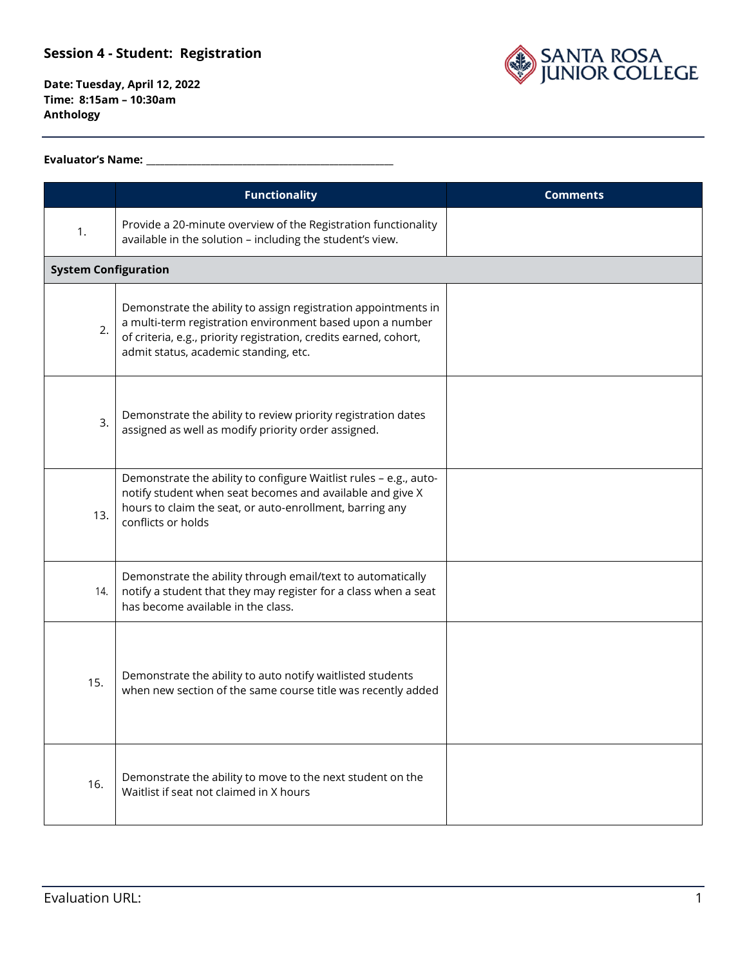

**Date: Tuesday, April 12, 2022 Time: 8:15am – 10:30am Anthology**

#### **Evaluator's Name: \_\_\_\_\_\_\_\_\_\_\_\_\_\_\_\_\_\_\_\_\_\_\_\_\_\_\_\_\_\_\_\_\_\_\_\_\_\_\_\_\_\_\_\_\_\_\_\_\_\_\_\_\_\_**

|                             | <b>Functionality</b>                                                                                                                                                                                                                      | <b>Comments</b> |
|-----------------------------|-------------------------------------------------------------------------------------------------------------------------------------------------------------------------------------------------------------------------------------------|-----------------|
| 1.                          | Provide a 20-minute overview of the Registration functionality<br>available in the solution - including the student's view.                                                                                                               |                 |
| <b>System Configuration</b> |                                                                                                                                                                                                                                           |                 |
| 2.                          | Demonstrate the ability to assign registration appointments in<br>a multi-term registration environment based upon a number<br>of criteria, e.g., priority registration, credits earned, cohort,<br>admit status, academic standing, etc. |                 |
| 3.                          | Demonstrate the ability to review priority registration dates<br>assigned as well as modify priority order assigned.                                                                                                                      |                 |
| 13.                         | Demonstrate the ability to configure Waitlist rules - e.g., auto-<br>notify student when seat becomes and available and give X<br>hours to claim the seat, or auto-enrollment, barring any<br>conflicts or holds                          |                 |
| 14.                         | Demonstrate the ability through email/text to automatically<br>notify a student that they may register for a class when a seat<br>has become available in the class.                                                                      |                 |
| 15.                         | Demonstrate the ability to auto notify waitlisted students<br>when new section of the same course title was recently added                                                                                                                |                 |
| 16.                         | Demonstrate the ability to move to the next student on the<br>Waitlist if seat not claimed in X hours                                                                                                                                     |                 |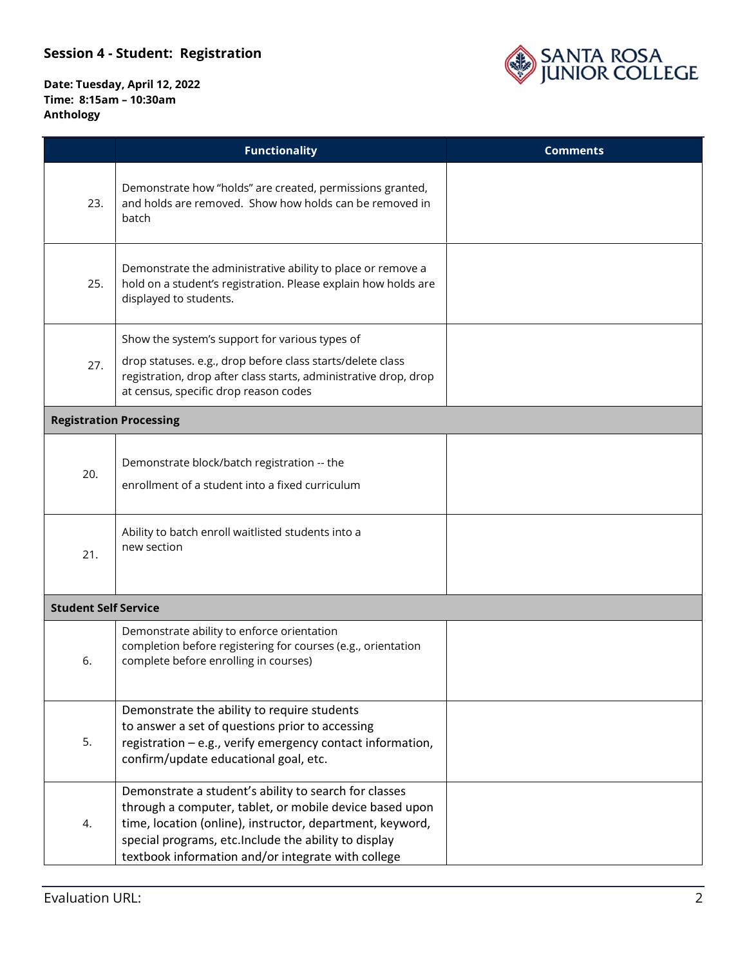

|                             | <b>Functionality</b>                                                                                                                                                                                                                                                                         | <b>Comments</b> |
|-----------------------------|----------------------------------------------------------------------------------------------------------------------------------------------------------------------------------------------------------------------------------------------------------------------------------------------|-----------------|
| 23.                         | Demonstrate how "holds" are created, permissions granted,<br>and holds are removed. Show how holds can be removed in<br>batch                                                                                                                                                                |                 |
| 25.                         | Demonstrate the administrative ability to place or remove a<br>hold on a student's registration. Please explain how holds are<br>displayed to students.                                                                                                                                      |                 |
| 27.                         | Show the system's support for various types of<br>drop statuses. e.g., drop before class starts/delete class<br>registration, drop after class starts, administrative drop, drop<br>at census, specific drop reason codes                                                                    |                 |
|                             | <b>Registration Processing</b>                                                                                                                                                                                                                                                               |                 |
| 20.                         | Demonstrate block/batch registration -- the<br>enrollment of a student into a fixed curriculum                                                                                                                                                                                               |                 |
| 21.                         | Ability to batch enroll waitlisted students into a<br>new section                                                                                                                                                                                                                            |                 |
| <b>Student Self Service</b> |                                                                                                                                                                                                                                                                                              |                 |
| 6.                          | Demonstrate ability to enforce orientation<br>completion before registering for courses (e.g., orientation<br>complete before enrolling in courses)                                                                                                                                          |                 |
| 5.                          | Demonstrate the ability to require students<br>to answer a set of questions prior to accessing<br>registration - e.g., verify emergency contact information,<br>confirm/update educational goal, etc.                                                                                        |                 |
| 4.                          | Demonstrate a student's ability to search for classes<br>through a computer, tablet, or mobile device based upon<br>time, location (online), instructor, department, keyword,<br>special programs, etc. Include the ability to display<br>textbook information and/or integrate with college |                 |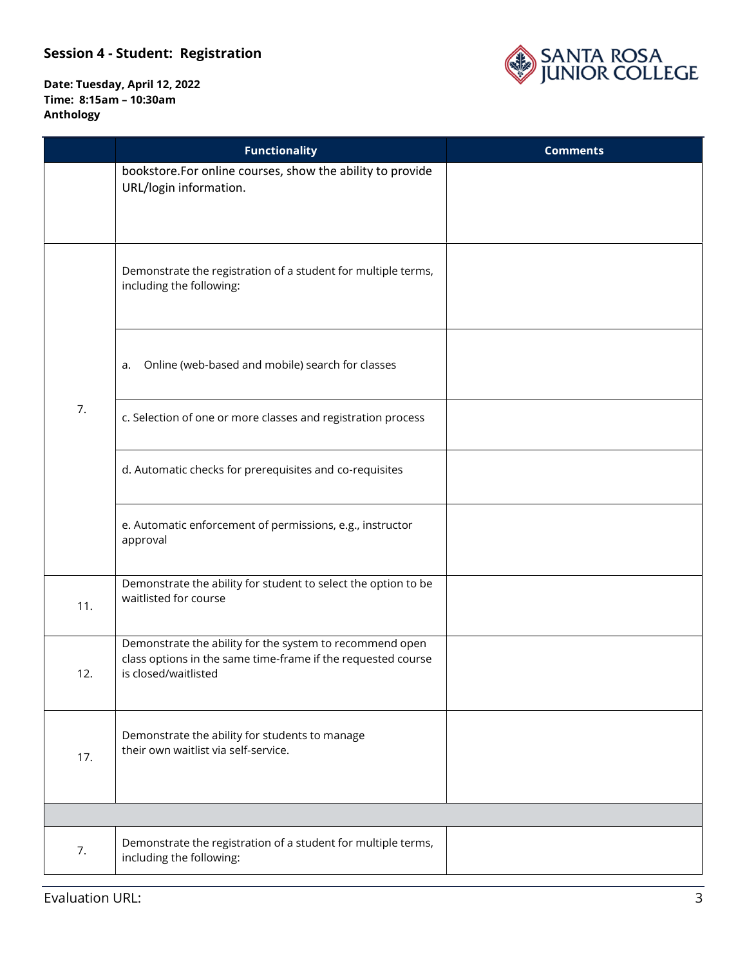

|     | <b>Functionality</b>                                                                                                                             | <b>Comments</b> |
|-----|--------------------------------------------------------------------------------------------------------------------------------------------------|-----------------|
|     | bookstore.For online courses, show the ability to provide<br>URL/login information.                                                              |                 |
|     | Demonstrate the registration of a student for multiple terms,<br>including the following:                                                        |                 |
|     | Online (web-based and mobile) search for classes<br>a.                                                                                           |                 |
| 7.  | c. Selection of one or more classes and registration process                                                                                     |                 |
|     | d. Automatic checks for prerequisites and co-requisites                                                                                          |                 |
|     | e. Automatic enforcement of permissions, e.g., instructor<br>approval                                                                            |                 |
| 11. | Demonstrate the ability for student to select the option to be<br>waitlisted for course                                                          |                 |
| 12. | Demonstrate the ability for the system to recommend open<br>class options in the same time-frame if the requested course<br>is closed/waitlisted |                 |
| 17. | Demonstrate the ability for students to manage<br>their own waitlist via self-service.                                                           |                 |
|     |                                                                                                                                                  |                 |
| 7.  | Demonstrate the registration of a student for multiple terms,<br>including the following:                                                        |                 |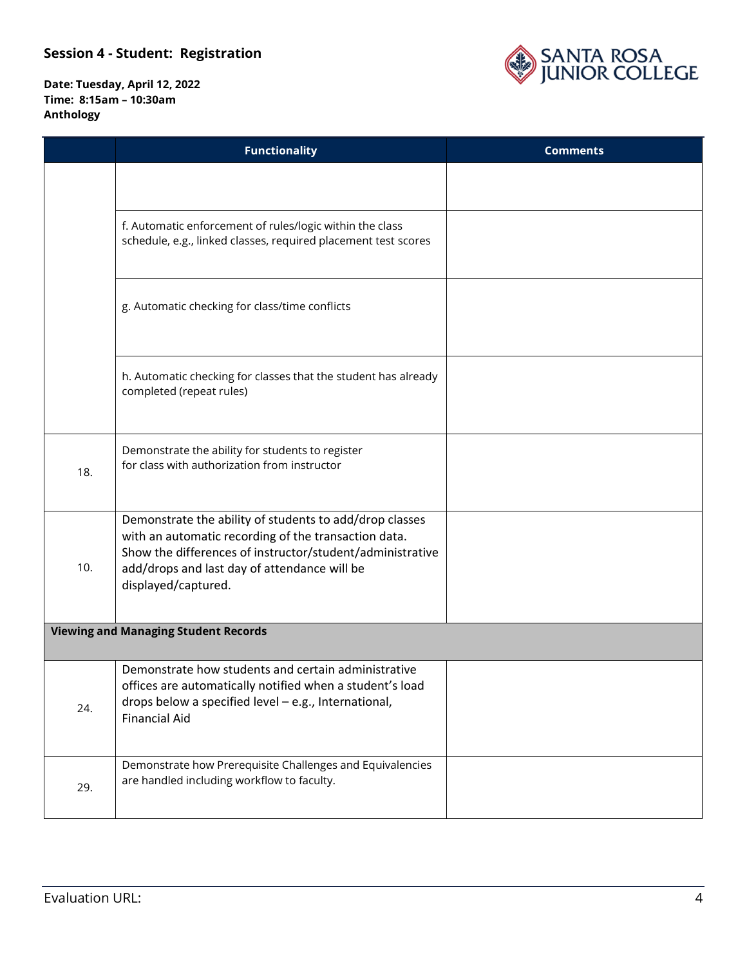

|     | <b>Functionality</b>                                                                                                                                                                                                                                | <b>Comments</b> |
|-----|-----------------------------------------------------------------------------------------------------------------------------------------------------------------------------------------------------------------------------------------------------|-----------------|
|     |                                                                                                                                                                                                                                                     |                 |
|     | f. Automatic enforcement of rules/logic within the class<br>schedule, e.g., linked classes, required placement test scores                                                                                                                          |                 |
|     | g. Automatic checking for class/time conflicts                                                                                                                                                                                                      |                 |
|     | h. Automatic checking for classes that the student has already<br>completed (repeat rules)                                                                                                                                                          |                 |
| 18. | Demonstrate the ability for students to register<br>for class with authorization from instructor                                                                                                                                                    |                 |
| 10. | Demonstrate the ability of students to add/drop classes<br>with an automatic recording of the transaction data.<br>Show the differences of instructor/student/administrative<br>add/drops and last day of attendance will be<br>displayed/captured. |                 |
|     | <b>Viewing and Managing Student Records</b>                                                                                                                                                                                                         |                 |
| 24. | Demonstrate how students and certain administrative<br>offices are automatically notified when a student's load<br>drops below a specified level - e.g., International,<br><b>Financial Aid</b>                                                     |                 |
| 29. | Demonstrate how Prerequisite Challenges and Equivalencies<br>are handled including workflow to faculty.                                                                                                                                             |                 |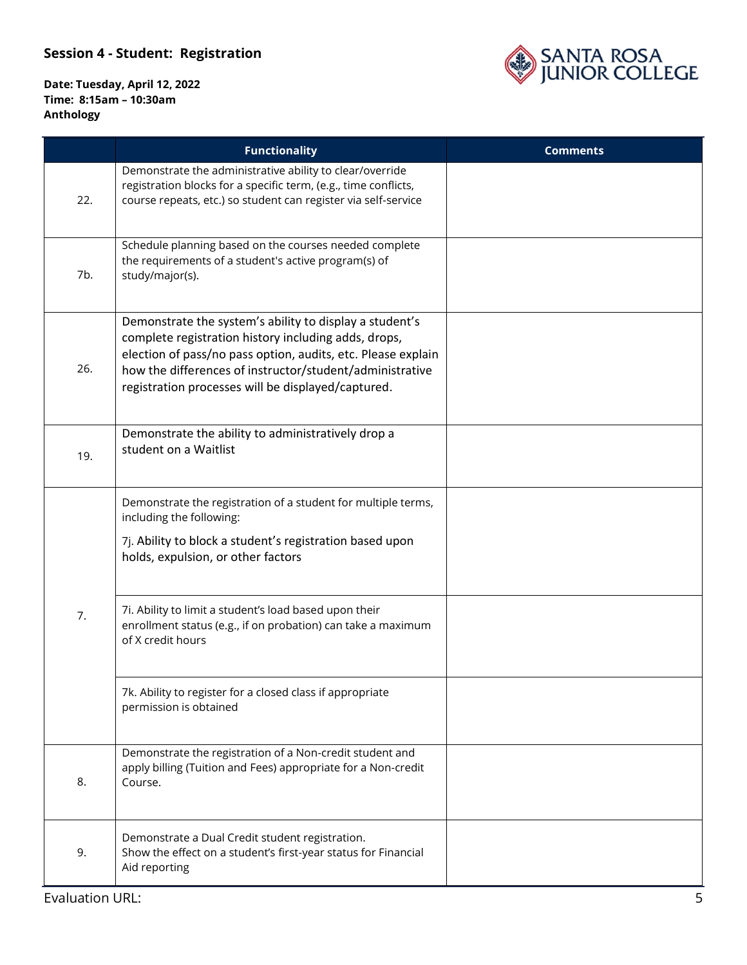

|     | <b>Functionality</b>                                                                                                                                                                                                                                                                              | <b>Comments</b> |
|-----|---------------------------------------------------------------------------------------------------------------------------------------------------------------------------------------------------------------------------------------------------------------------------------------------------|-----------------|
| 22. | Demonstrate the administrative ability to clear/override<br>registration blocks for a specific term, (e.g., time conflicts,<br>course repeats, etc.) so student can register via self-service                                                                                                     |                 |
| 7b. | Schedule planning based on the courses needed complete<br>the requirements of a student's active program(s) of<br>study/major(s).                                                                                                                                                                 |                 |
| 26. | Demonstrate the system's ability to display a student's<br>complete registration history including adds, drops,<br>election of pass/no pass option, audits, etc. Please explain<br>how the differences of instructor/student/administrative<br>registration processes will be displayed/captured. |                 |
| 19. | Demonstrate the ability to administratively drop a<br>student on a Waitlist                                                                                                                                                                                                                       |                 |
|     | Demonstrate the registration of a student for multiple terms,<br>including the following:<br>7j. Ability to block a student's registration based upon<br>holds, expulsion, or other factors                                                                                                       |                 |
| 7.  | 7i. Ability to limit a student's load based upon their<br>enrollment status (e.g., if on probation) can take a maximum<br>of X credit hours                                                                                                                                                       |                 |
|     | 7k. Ability to register for a closed class if appropriate<br>permission is obtained                                                                                                                                                                                                               |                 |
| 8.  | Demonstrate the registration of a Non-credit student and<br>apply billing (Tuition and Fees) appropriate for a Non-credit<br>Course.                                                                                                                                                              |                 |
| 9.  | Demonstrate a Dual Credit student registration.<br>Show the effect on a student's first-year status for Financial<br>Aid reporting                                                                                                                                                                |                 |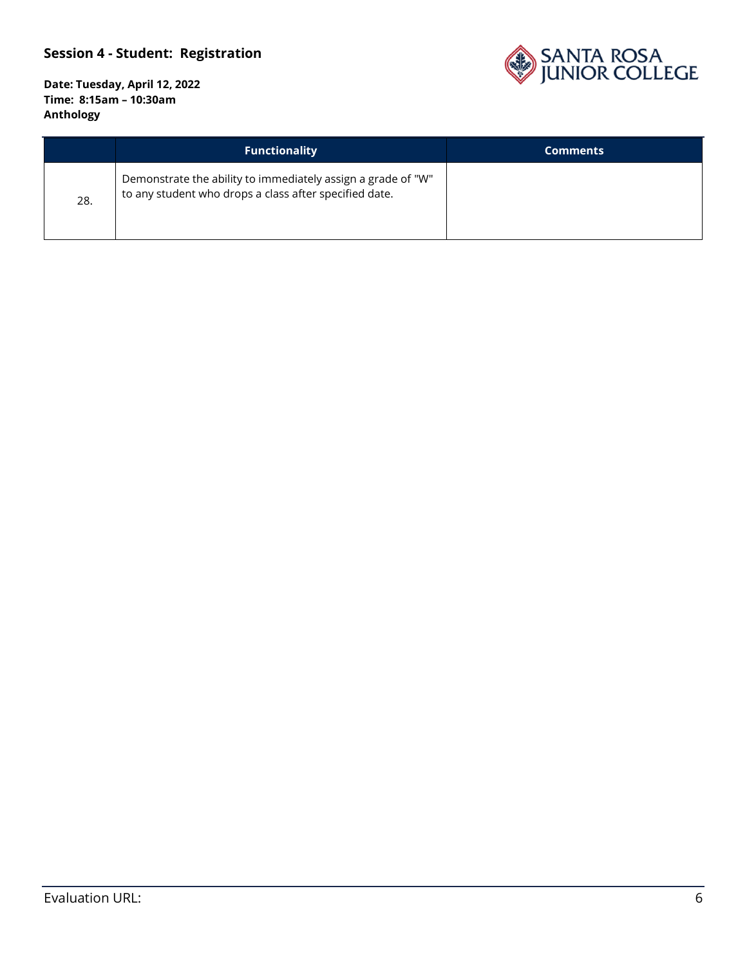

|     | <b>Functionality</b>                                                                                                   | <b>Comments</b> |
|-----|------------------------------------------------------------------------------------------------------------------------|-----------------|
| 28. | Demonstrate the ability to immediately assign a grade of "W"<br>to any student who drops a class after specified date. |                 |